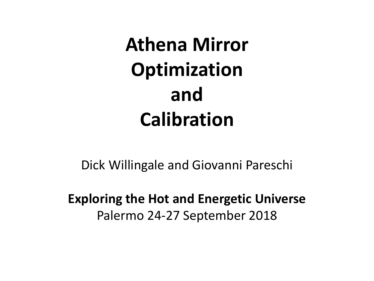# **Athena Mirror Optimization and Calibration**

Dick Willingale and Giovanni Pareschi

#### **Exploring the Hot and Energetic Universe** Palermo 24-27 September 2018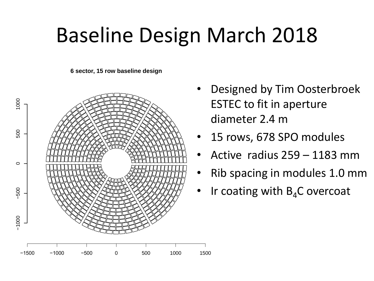# Baseline Design March 2018

**6 sector, 15 row baseline design**



- Designed by Tim Oosterbroek ESTEC to fit in aperture diameter 2.4 m
- 15 rows, 678 SPO modules
- Active radius 259 1183 mm
- Rib spacing in modules 1.0 mm
- Ir coating with  $B_4C$  overcoat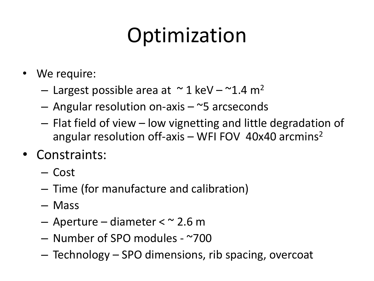# **Optimization**

- We require:
	- Largest possible area at  $\sim$  1 keV  $\sim$ 1.4 m<sup>2</sup>
	- $-$  Angular resolution on-axis  $\sim$ 5 arcseconds
	- Flat field of view low vignetting and little degradation of angular resolution off-axis – WFI FOV 40x40 arcmins<sup>2</sup>
- Constraints:
	- Cost
	- Time (for manufacture and calibration)
	- Mass
	- $-$  Aperture diameter  $<$   $\sim$  2.6 m
	- Number of SPO modules ~700
	- Technology SPO dimensions, rib spacing, overcoat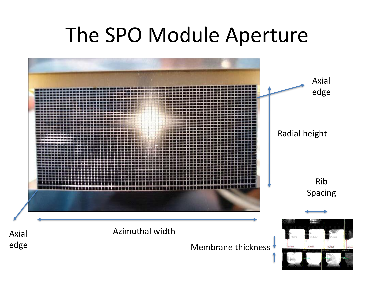## The SPO Module Aperture

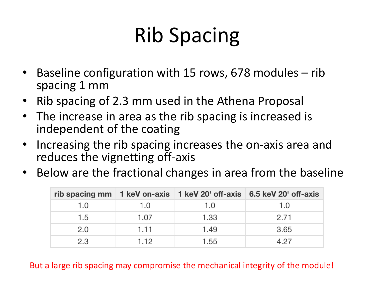# Rib Spacing

- Baseline configuration with 15 rows, 678 modules rib spacing 1 mm
- Rib spacing of 2.3 mm used in the Athena Proposal
- The increase in area as the rib spacing is increased is independent of the coating
- Increasing the rib spacing increases the on-axis area and reduces the vignetting off-axis
- Below are the fractional changes in area from the baseline

|     |      |      | rib spacing mm   1 keV on-axis   1 keV 20' off-axis   6.5 keV 20' off-axis |
|-----|------|------|----------------------------------------------------------------------------|
| 1.O | 1.0  | 1.0  | 1.0                                                                        |
| 1.5 | 1.07 | 1.33 | 2.71                                                                       |
| 2.0 | 1.11 | 1.49 | 3.65                                                                       |
| 2.3 | 1.12 | 1.55 | 4 27                                                                       |

But a large rib spacing may compromise the mechanical integrity of the module!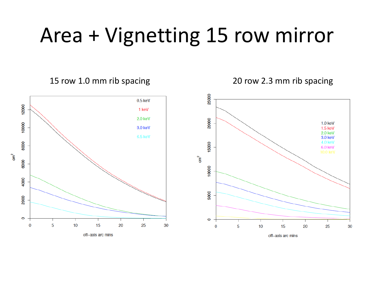## Area + Vignetting 15 row mirror



15 row 1.0 mm rib spacing 20 row 2.3 mm rib spacing



off-axis arc mins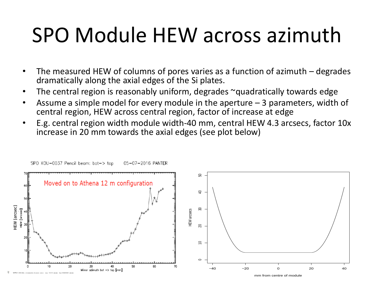# SPO Module HEW across azimuth

- The measured HEW of columns of pores varies as a function of azimuth degrades dramatically along the axial edges of the Si plates.
- The central region is reasonably uniform, degrades ~quadratically towards edge
- Assume a simple model for every module in the aperture  $-$  3 parameters, width of central region, HEW across central region, factor of increase at edge
- E.g. central region width module width-40 mm, central HEW 4.3 arcsecs, factor 10x increase in 20 mm towards the axial edges (see plot below)

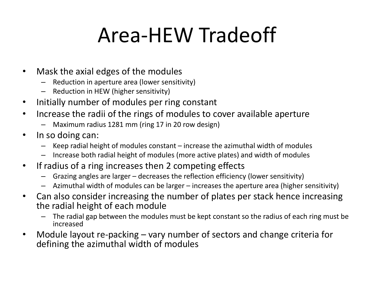# Area-HEW Tradeoff

- Mask the axial edges of the modules
	- Reduction in aperture area (lower sensitivity)
	- Reduction in HEW (higher sensitivity)
- Initially number of modules per ring constant
- Increase the radii of the rings of modules to cover available aperture
	- Maximum radius 1281 mm (ring 17 in 20 row design)
- In so doing can:
	- Keep radial height of modules constant increase the azimuthal width of modules
	- Increase both radial height of modules (more active plates) and width of modules
- If radius of a ring increases then 2 competing effects
	- Grazing angles are larger decreases the reflection efficiency (lower sensitivity)
	- Azimuthal width of modules can be larger increases the aperture area (higher sensitivity)
- Can also consider increasing the number of plates per stack hence increasing the radial height of each module
	- The radial gap between the modules must be kept constant so the radius of each ring must be increased
- Module layout re-packing vary number of sectors and change criteria for defining the azimuthal width of modules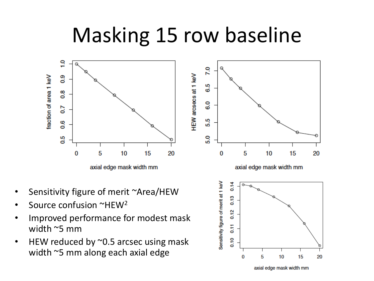## Masking 15 row baseline



- Sensitivity figure of merit ~Area/HEW
- Source confusion ~HEW<sup>2</sup>
- Improved performance for modest mask width ~5 mm
- HEW reduced by ~0.5 arcsec using mask width ~5 mm along each axial edge



axial edge mask width mm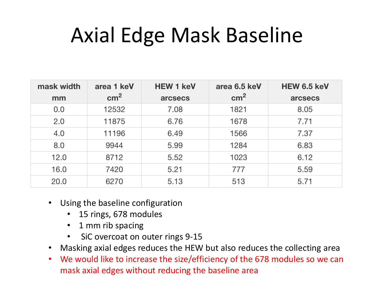# Axial Edge Mask Baseline

| mask width | area 1 keV    | <b>HEW 1 keV</b> | area 6.5 keV  | HEW 6.5 keV |
|------------|---------------|------------------|---------------|-------------|
| mm         | $\text{cm}^2$ | arcsecs          | $\text{cm}^2$ | arcsecs     |
| 0.0        | 12532         | 7.08             | 1821          | 8.05        |
| 2.0        | 11875         | 6.76             | 1678          | 7.71        |
| 4.0        | 11196         | 6.49             | 1566          | 7.37        |
| 8.0        | 9944          | 5.99             | 1284          | 6.83        |
| 12.0       | 8712          | 5.52             | 1023          | 6.12        |
| 16.0       | 7420          | 5.21             | 777           | 5.59        |
| 20.0       | 6270          | 5.13             | 513           | 5.71        |

- Using the baseline configuration
	- 15 rings, 678 modules
	- 1 mm rib spacing
	- SiC overcoat on outer rings 9-15
- Masking axial edges reduces the HEW but also reduces the collecting area
- We would like to increase the size/efficiency of the 678 modules so we can mask axial edges without reducing the baseline area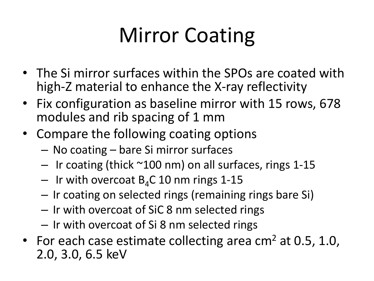# Mirror Coating

- The Si mirror surfaces within the SPOs are coated with high-Z material to enhance the X-ray reflectivity
- Fix configuration as baseline mirror with 15 rows, 678 modules and rib spacing of 1 mm
- Compare the following coating options
	- No coating bare Si mirror surfaces
	- $-$  Ir coating (thick  $\sim$ 100 nm) on all surfaces, rings 1-15
	- $-$  Ir with overcoat B<sub>4</sub>C 10 nm rings 1-15
	- Ir coating on selected rings (remaining rings bare Si)
	- Ir with overcoat of SiC 8 nm selected rings
	- Ir with overcoat of Si 8 nm selected rings
- For each case estimate collecting area  $cm<sup>2</sup>$  at 0.5, 1.0, 2.0, 3.0, 6.5 keV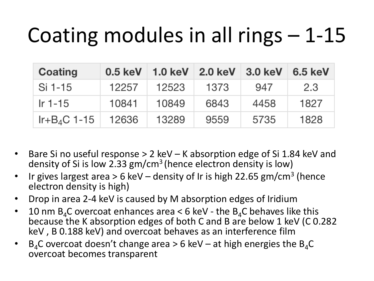# Coating modules in all rings – 1-15

| Coating        | $0.5$ keV $\parallel$ |       | 1.0 keV $\mid$ 2.0 keV $\mid$ 3.0 keV |      | $6.5$ keV |
|----------------|-----------------------|-------|---------------------------------------|------|-----------|
| Si 1-15        | 12257                 | 12523 | 1373                                  | 947  | 2.3       |
| lr 1-15        | 10841                 | 10849 | 6843                                  | 4458 | 1827      |
| $Ir+B_4C$ 1-15 | 12636                 | 13289 | 9559                                  | 5735 | 1828      |

- Bare Si no useful response > 2 keV K absorption edge of Si 1.84 keV and density of Si is low 2.33 gm/cm<sup>3</sup>(hence electron density is low)
- Ir gives largest area > 6 keV density of Ir is high 22.65 gm/cm<sup>3</sup> (hence electron density is high)
- Drop in area 2-4 keV is caused by M absorption edges of Iridium
- 10 nm  $B_4C$  overcoat enhances area < 6 keV the  $B_4C$  behaves like this because the K absorption edges of both C and B are below 1 keV (C 0.282 keV , B 0.188 keV) and overcoat behaves as an interference film
- $B_4C$  overcoat doesn't change area > 6 keV at high energies the  $B_4C$ overcoat becomes transparent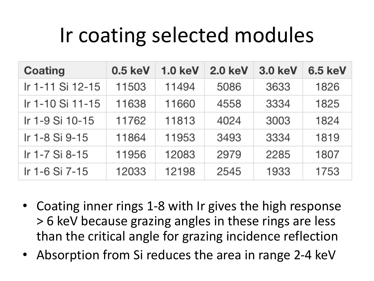# Ir coating selected modules

| <b>Coating</b>   | 0.5 keV | <b>1.0 keV</b> | $2.0 \text{ keV}$ | 3.0 keV | $6.5$ keV |
|------------------|---------|----------------|-------------------|---------|-----------|
| Ir 1-11 Si 12-15 | 11503   | 11494          | 5086              | 3633    | 1826      |
| Ir 1-10 Si 11-15 | 11638   | 11660          | 4558              | 3334    | 1825      |
| Ir 1-9 Si 10-15  | 11762   | 11813          | 4024              | 3003    | 1824      |
| Ir 1-8 Si 9-15   | 11864   | 11953          | 3493              | 3334    | 1819      |
| Ir 1-7 Si 8-15   | 11956   | 12083          | 2979              | 2285    | 1807      |
| Ir 1-6 Si 7-15   | 12033   | 12198          | 2545              | 1933    | 1753      |

- Coating inner rings 1-8 with Ir gives the high response > 6 keV because grazing angles in these rings are less than the critical angle for grazing incidence reflection
- Absorption from Si reduces the area in range 2-4 keV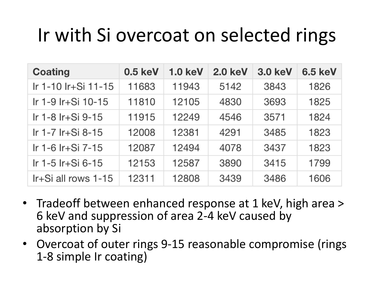## Ir with Si overcoat on selected rings

| Coating               | $0.5$ keV | 1.0 <sub>keV</sub> | $2.0 \text{ keV}$ | <b>3.0 keV</b> | <b>6.5 keV</b> |
|-----------------------|-----------|--------------------|-------------------|----------------|----------------|
| Ir 1-10 Ir+Si 11-15   | 11683     | 11943              | 5142              | 3843           | 1826           |
| Ir 1-9 Ir+Si 10-15    | 11810     | 12105              | 4830              | 3693           | 1825           |
| Ir 1-8 Ir+Si 9-15     | 11915     | 12249              | 4546              | 3571           | 1824           |
| Ir 1-7 Ir+Si 8-15     | 12008     | 12381              | 4291              | 3485           | 1823           |
| Ir 1-6 Ir+Si 7-15     | 12087     | 12494              | 4078              | 3437           | 1823           |
| Ir 1-5 Ir+Si 6-15     | 12153     | 12587              | 3890              | 3415           | 1799           |
| $Ir+Si$ all rows 1-15 | 12311     | 12808              | 3439              | 3486           | 1606           |

- Tradeoff between enhanced response at 1 keV, high area > 6 keV and suppression of area 2-4 keV caused by absorption by Si
- Overcoat of outer rings 9-15 reasonable compromise (rings 1-8 simple Ir coating)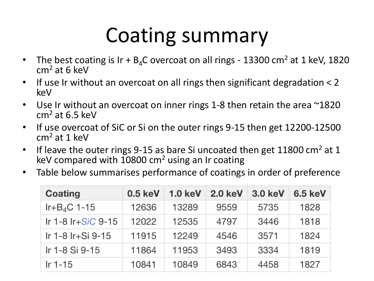# Coating summary

- The best coating is  $Ir + B_4C$  overcoat on all rings 13300 cm<sup>2</sup> at 1 keV, 1820  $cm<sup>2</sup>$  at 6 keV
- If use Ir without an overcoat on all rings then significant degradation < 2 keV
- Use Ir without an overcoat on inner rings 1-8 then retain the area  $^{\sim}1820$  $cm<sup>2</sup>$  at 6.5 keV
- If use overcoat of SiC or Si on the outer rings 9-15 then get 12200-12500  $cm<sup>2</sup>$  at 1 keV
- If leave the outer rings 9-15 as bare Si uncoated then get 11800 cm<sup>2</sup> at 1 keV compared with  $10800$  cm<sup>2</sup> using an Ir coating
- Table below summarises performance of coatings in order of preference

| <b>Coating</b>       | $0.5$ keV | 1.0 <sub>keV</sub> | $2.0 \text{ keV}$ | <b>3.0 keV</b> | <b>6.5 keV</b> |
|----------------------|-----------|--------------------|-------------------|----------------|----------------|
| $Ir+B_4C$ 1-15       | 12636     | 13289              | 9559              | 5735           | 1828           |
| Ir 1-8 $Ir+SiC$ 9-15 | 12022     | 12535              | 4797              | 3446           | 1818           |
| Ir 1-8 Ir+Si 9-15    | 11915     | 12249              | 4546              | 3571           | 1824           |
| Ir 1-8 Si 9-15       | 11864     | 11953              | 3493              | 3334           | 1819           |
| Ir $1-15$            | 10841     | 10849              | 6843              | 4458           | 1827           |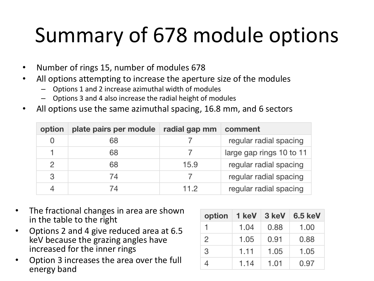# Summary of 678 module options

- Number of rings 15, number of modules 678
- All options attempting to increase the aperture size of the modules
	- Options 1 and 2 increase azimuthal width of modules
	- Options 3 and 4 also increase the radial height of modules
- All options use the same azimuthal spacing, 16.8 mm, and 6 sectors

| option | plate pairs per module | radial gap mm | comment                  |
|--------|------------------------|---------------|--------------------------|
|        | 68                     |               | regular radial spacing   |
|        | 68                     |               | large gap rings 10 to 11 |
| 2      | 68                     | 15.9          | regular radial spacing   |
| 3      | 74                     |               | regular radial spacing   |
|        | 74                     | 11.2          | regular radial spacing   |

- The fractional changes in area are shown in the table to the right
- Options 2 and 4 give reduced area at 6.5 keV because the grazing angles have increased for the inner rings
- Option 3 increases the area over the full energy band

| option        | 1 keV | 3 keV | $6.5$ keV |
|---------------|-------|-------|-----------|
| 1.            | 1.04  | 0.88  | 1.00      |
| $\mathcal{P}$ | 1.05  | 0.91  | 0.88      |
| 3             | 1.11  | 1.05  | 1.05      |
|               | 1.14  | 1.01  | 0.97      |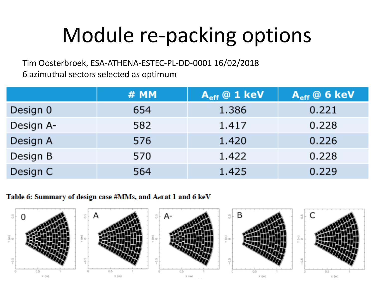# Module re-packing options

Tim Oosterbroek, ESA-ATHENA-ESTEC-PL-DD-0001 16/02/2018 6 azimuthal sectors selected as optimum

|           | # MM | $\overline{A}_{eff}$ @ 1 keV | $Aeff$ @ 6 keV |
|-----------|------|------------------------------|----------------|
| Design 0  | 654  | 1.386                        | 0.221          |
| Design A- | 582  | 1.417                        | 0.228          |
| Design A  | 576  | 1.420                        | 0.226          |
| Design B  | 570  | 1.422                        | 0.228          |
| Design C  | 564  | 1.425                        | 0.229          |

Table 6: Summary of design case #MMs, and Aeff at 1 and 6 keV